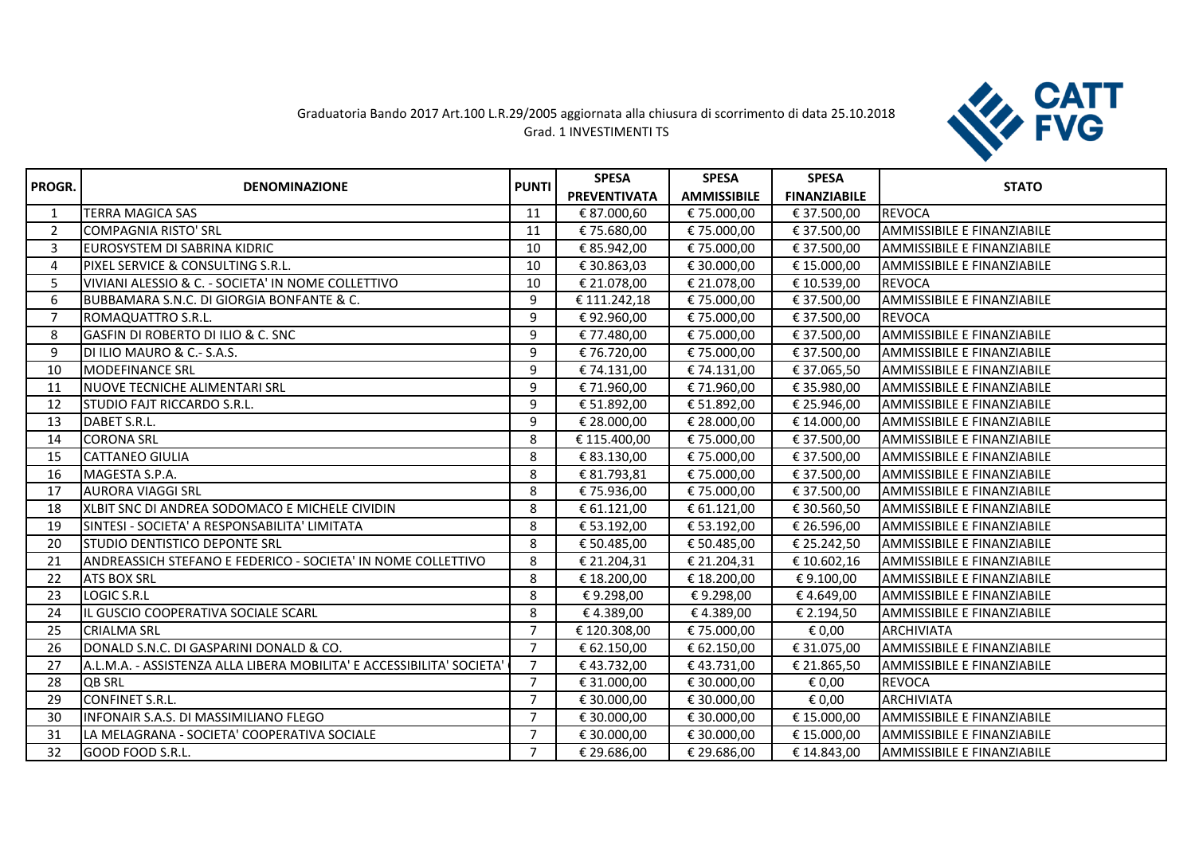## Graduatoria Bando 2017 Art.100 L.R.29/2005 aggiornata alla chiusura di scorrimento di data 25.10.2018 Grad. 1 INVESTIMENTI TS



|                | <b>DENOMINAZIONE</b>                                                  | <b>PUNTI</b>   | <b>SPESA</b>        | <b>SPESA</b>       | <b>SPESA</b>        |                                   |
|----------------|-----------------------------------------------------------------------|----------------|---------------------|--------------------|---------------------|-----------------------------------|
| PROGR.         |                                                                       |                | <b>PREVENTIVATA</b> | <b>AMMISSIBILE</b> | <b>FINANZIABILE</b> | <b>STATO</b>                      |
| $\mathbf{1}$   | <b>TERRA MAGICA SAS</b>                                               | 11             | € 87.000,60         | € 75.000,00        | € 37.500,00         | <b>REVOCA</b>                     |
| $\overline{2}$ | <b>COMPAGNIA RISTO' SRL</b>                                           | 11             | €75.680,00          | € 75.000,00        | € 37.500,00         | <b>AMMISSIBILE E FINANZIABILE</b> |
| 3              | EUROSYSTEM DI SABRINA KIDRIC                                          | 10             | € 85.942,00         | € 75.000,00        | € 37.500,00         | <b>AMMISSIBILE E FINANZIABILE</b> |
| 4              | PIXEL SERVICE & CONSULTING S.R.L.                                     | 10             | € 30.863,03         | € 30.000,00        | € 15.000,00         | <b>AMMISSIBILE E FINANZIABILE</b> |
| 5              | VIVIANI ALESSIO & C. - SOCIETA' IN NOME COLLETTIVO                    | 10             | € 21.078,00         | € 21.078,00        | € 10.539,00         | <b>REVOCA</b>                     |
| 6              | BUBBAMARA S.N.C. DI GIORGIA BONFANTE & C.                             | 9              | € 111.242,18        | € 75.000,00        | € 37.500,00         | <b>AMMISSIBILE E FINANZIABILE</b> |
| $\overline{7}$ | ROMAQUATTRO S.R.L.                                                    | 9              | €92.960,00          | € 75.000,00        | € 37.500,00         | <b>REVOCA</b>                     |
| 8              | <b>GASFIN DI ROBERTO DI ILIO &amp; C. SNC</b>                         | 9              | € 77.480,00         | € 75.000,00        | € 37.500,00         | <b>AMMISSIBILE E FINANZIABILE</b> |
| 9              | DI ILIO MAURO & C.- S.A.S.                                            | 9              | € 76.720,00         | € 75.000,00        | € 37.500,00         | AMMISSIBILE E FINANZIABILE        |
| 10             | <b>MODEFINANCE SRL</b>                                                | 9              | € 74.131,00         | € 74.131,00        | € 37.065,50         | <b>AMMISSIBILE E FINANZIABILE</b> |
| 11             | NUOVE TECNICHE ALIMENTARI SRL                                         | 9              | € 71.960,00         | €71.960,00         | € 35.980,00         | AMMISSIBILE E FINANZIABILE        |
| 12             | <b>ISTUDIO FAJT RICCARDO S.R.L.</b>                                   | 9              | € 51.892,00         | € 51.892,00        | € 25.946,00         | AMMISSIBILE E FINANZIABILE        |
| 13             | DABET S.R.L.                                                          | 9              | € 28.000,00         | € 28.000,00        | € 14.000,00         | <b>AMMISSIBILE E FINANZIABILE</b> |
| 14             | <b>CORONA SRL</b>                                                     | 8              | € 115.400,00        | € 75.000,00        | € 37.500,00         | AMMISSIBILE E FINANZIABILE        |
| 15             | <b>CATTANEO GIULIA</b>                                                | 8              | € 83.130,00         | € 75.000,00        | € 37.500,00         | AMMISSIBILE E FINANZIABILE        |
| 16             | MAGESTA S.P.A.                                                        | 8              | € 81.793,81         | € 75.000,00        | € 37.500,00         | AMMISSIBILE E FINANZIABILE        |
| 17             | <b>AURORA VIAGGI SRL</b>                                              | 8              | € 75.936,00         | € 75.000,00        | € 37.500,00         | <b>AMMISSIBILE E FINANZIABILE</b> |
| 18             | XLBIT SNC DI ANDREA SODOMACO E MICHELE CIVIDIN                        | 8              | € 61.121,00         | € 61.121,00        | € 30.560,50         | AMMISSIBILE E FINANZIABILE        |
| 19             | ISINTESI - SOCIETA' A RESPONSABILITA' LIMITATA                        | 8              | € 53.192,00         | € 53.192,00        | € 26.596,00         | <b>AMMISSIBILE E FINANZIABILE</b> |
| 20             | STUDIO DENTISTICO DEPONTE SRL                                         | 8              | € 50.485,00         | € 50.485,00        | € 25.242,50         | AMMISSIBILE E FINANZIABILE        |
| 21             | ANDREASSICH STEFANO E FEDERICO - SOCIETA' IN NOME COLLETTIVO          | 8              | € 21.204,31         | € 21.204,31        | € 10.602,16         | AMMISSIBILE E FINANZIABILE        |
| 22             | <b>ATS BOX SRL</b>                                                    | 8              | € 18.200,00         | € 18.200,00        | €9.100,00           | <b>AMMISSIBILE E FINANZIABILE</b> |
| 23             | <b>LOGIC S.R.L</b>                                                    | 8              | €9.298,00           | €9.298,00          | €4.649,00           | AMMISSIBILE E FINANZIABILE        |
| 24             | IL GUSCIO COOPERATIVA SOCIALE SCARL                                   | 8              | €4.389,00           | € 4.389,00         | € 2.194,50          | <b>AMMISSIBILE E FINANZIABILE</b> |
| 25             | <b>CRIALMA SRL</b>                                                    | $\overline{7}$ | €120.308,00         | € 75.000,00        | € 0,00              | <b>ARCHIVIATA</b>                 |
| 26             | DONALD S.N.C. DI GASPARINI DONALD & CO.                               | $\overline{7}$ | € 62.150,00         | € 62.150,00        | € 31.075,00         | AMMISSIBILE E FINANZIABILE        |
| 27             | A.L.M.A. - ASSISTENZA ALLA LIBERA MOBILITA' E ACCESSIBILITA' SOCIETA' | $\overline{7}$ | €43.732,00          | €43.731,00         | € 21.865,50         | AMMISSIBILE E FINANZIABILE        |
| 28             | <b>QB SRL</b>                                                         | $\overline{7}$ | € 31.000,00         | € 30.000,00        | € 0,00              | <b>REVOCA</b>                     |
| 29             | <b>CONFINET S.R.L.</b>                                                | $\overline{7}$ | € 30.000,00         | € 30.000,00        | € 0,00              | <b>ARCHIVIATA</b>                 |
| 30             | INFONAIR S.A.S. DI MASSIMILIANO FLEGO                                 | $\overline{7}$ | € 30.000,00         | € 30.000,00        | € 15.000,00         | <b>AMMISSIBILE E FINANZIABILE</b> |
| 31             | LA MELAGRANA - SOCIETA' COOPERATIVA SOCIALE                           | $\overline{7}$ | € 30.000,00         | € 30.000,00        | € 15.000,00         | <b>AMMISSIBILE E FINANZIABILE</b> |
| 32             | GOOD FOOD S.R.L.                                                      | $\overline{7}$ | € 29.686,00         | € 29.686,00        | € 14.843,00         | <b>AMMISSIBILE E FINANZIABILE</b> |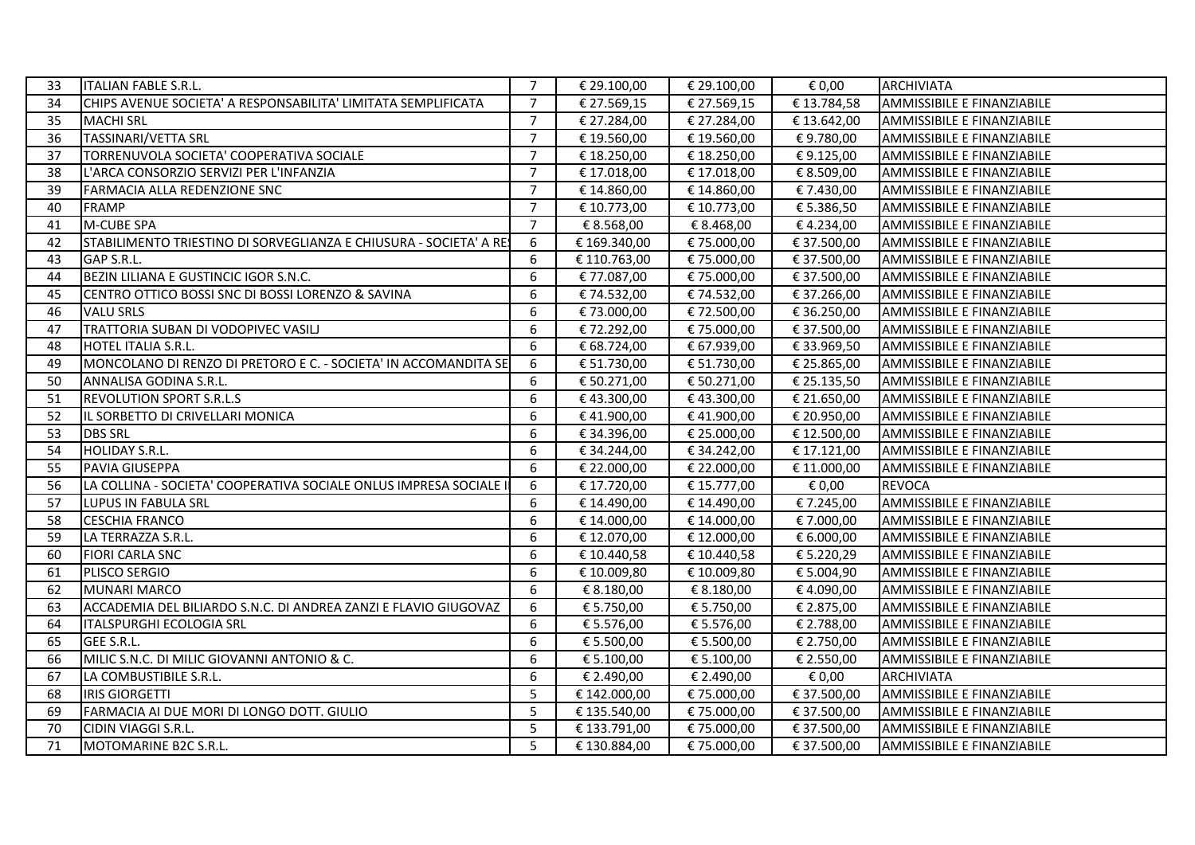| 33 | <b>ITALIAN FABLE S.R.L.</b>                                        | $\overline{7}$ | € 29.100,00  | € 29.100,00 | € 0,00      | <b>ARCHIVIATA</b>                 |
|----|--------------------------------------------------------------------|----------------|--------------|-------------|-------------|-----------------------------------|
| 34 | CHIPS AVENUE SOCIETA' A RESPONSABILITA' LIMITATA SEMPLIFICATA      | $\overline{7}$ | € 27.569,15  | € 27.569,15 | €13.784,58  | AMMISSIBILE E FINANZIABILE        |
| 35 | <b>MACHI SRL</b>                                                   | $\overline{7}$ | € 27.284,00  | € 27.284,00 | €13.642,00  | AMMISSIBILE E FINANZIABILE        |
| 36 | <b>TASSINARI/VETTA SRL</b>                                         | $\overline{7}$ | € 19.560,00  | € 19.560,00 | €9.780,00   | AMMISSIBILE E FINANZIABILE        |
| 37 | TORRENUVOLA SOCIETA' COOPERATIVA SOCIALE                           | $\overline{7}$ | € 18.250,00  | € 18.250,00 | €9.125,00   | AMMISSIBILE E FINANZIABILE        |
| 38 | L'ARCA CONSORZIO SERVIZI PER L'INFANZIA                            | $\overline{7}$ | € 17.018,00  | € 17.018,00 | € 8.509,00  | AMMISSIBILE E FINANZIABILE        |
| 39 | <b>FARMACIA ALLA REDENZIONE SNC</b>                                | $\overline{7}$ | € 14.860,00  | € 14.860,00 | € 7.430,00  | AMMISSIBILE E FINANZIABILE        |
| 40 | <b>FRAMP</b>                                                       | $\overline{7}$ | € 10.773,00  | € 10.773,00 | € 5.386,50  | AMMISSIBILE E FINANZIABILE        |
| 41 | M-CUBE SPA                                                         | $\overline{7}$ | € 8.568,00   | € 8.468,00  | €4.234,00   | AMMISSIBILE E FINANZIABILE        |
| 42 | STABILIMENTO TRIESTINO DI SORVEGLIANZA E CHIUSURA - SOCIETA' A RES | 6              | € 169.340,00 | € 75.000,00 | € 37.500,00 | AMMISSIBILE E FINANZIABILE        |
| 43 | GAP S.R.L.                                                         | 6              | € 110.763,00 | € 75.000,00 | € 37.500,00 | AMMISSIBILE E FINANZIABILE        |
| 44 | BEZIN LILIANA E GUSTINCIC IGOR S.N.C.                              | 6              | € 77.087,00  | € 75.000,00 | € 37.500,00 | AMMISSIBILE E FINANZIABILE        |
| 45 | CENTRO OTTICO BOSSI SNC DI BOSSI LORENZO & SAVINA                  | 6              | € 74.532,00  | € 74.532,00 | € 37.266,00 | AMMISSIBILE E FINANZIABILE        |
| 46 | <b>VALU SRLS</b>                                                   | 6              | € 73.000,00  | € 72.500,00 | € 36.250,00 | AMMISSIBILE E FINANZIABILE        |
| 47 | TRATTORIA SUBAN DI VODOPIVEC VASILI                                | 6              | € 72.292,00  | € 75.000,00 | € 37.500,00 | AMMISSIBILE E FINANZIABILE        |
| 48 | HOTEL ITALIA S.R.L.                                                | 6              | € 68.724,00  | € 67.939,00 | € 33.969,50 | AMMISSIBILE E FINANZIABILE        |
| 49 | MONCOLANO DI RENZO DI PRETORO E C. - SOCIETA' IN ACCOMANDITA SE    | 6              | € 51.730,00  | € 51.730,00 | € 25.865,00 | AMMISSIBILE E FINANZIABILE        |
| 50 | ANNALISA GODINA S.R.L.                                             | 6              | € 50.271,00  | € 50.271,00 | € 25.135,50 | AMMISSIBILE E FINANZIABILE        |
| 51 | <b>REVOLUTION SPORT S.R.L.S</b>                                    | 6              | €43.300,00   | €43.300,00  | € 21.650,00 | AMMISSIBILE E FINANZIABILE        |
| 52 | IL SORBETTO DI CRIVELLARI MONICA                                   | 6              | €41.900,00   | €41.900,00  | € 20.950,00 | <b>AMMISSIBILE E FINANZIABILE</b> |
| 53 | <b>DBS SRL</b>                                                     | 6              | € 34.396,00  | € 25.000,00 | € 12.500,00 | AMMISSIBILE E FINANZIABILE        |
| 54 | HOLIDAY S.R.L.                                                     | 6              | € 34.244,00  | € 34.242,00 | € 17.121,00 | AMMISSIBILE E FINANZIABILE        |
| 55 | PAVIA GIUSEPPA                                                     | 6              | € 22.000,00  | € 22.000,00 | € 11.000,00 | <b>AMMISSIBILE E FINANZIABILE</b> |
| 56 | LA COLLINA - SOCIETA' COOPERATIVA SOCIALE ONLUS IMPRESA SOCIALE II | 6              | € 17.720,00  | € 15.777,00 | € 0,00      | <b>REVOCA</b>                     |
| 57 | LUPUS IN FABULA SRL                                                | 6              | € 14.490,00  | € 14.490,00 | € 7.245,00  | AMMISSIBILE E FINANZIABILE        |
| 58 | <b>CESCHIA FRANCO</b>                                              | 6              | € 14.000,00  | € 14.000,00 | € 7.000,00  | AMMISSIBILE E FINANZIABILE        |
| 59 | LA TERRAZZA S.R.L.                                                 | 6              | € 12.070,00  | € 12.000,00 | € 6.000,00  | AMMISSIBILE E FINANZIABILE        |
| 60 | <b>FIORI CARLA SNC</b>                                             | 6              | € 10.440,58  | € 10.440,58 | € 5.220,29  | <b>AMMISSIBILE E FINANZIABILE</b> |
| 61 | PLISCO SERGIO                                                      | 6              | € 10.009,80  | € 10.009,80 | € 5.004,90  | AMMISSIBILE E FINANZIABILE        |
| 62 | <b>MUNARI MARCO</b>                                                | 6              | € 8.180,00   | € 8.180,00  | €4.090,00   | <b>AMMISSIBILE E FINANZIABILE</b> |
| 63 | ACCADEMIA DEL BILIARDO S.N.C. DI ANDREA ZANZI E FLAVIO GIUGOVAZ    | 6              | € 5.750,00   | € 5.750,00  | € 2.875,00  | AMMISSIBILE E FINANZIABILE        |
| 64 | <b>ITALSPURGHI ECOLOGIA SRL</b>                                    | 6              | € 5.576,00   | € 5.576,00  | € 2.788,00  | AMMISSIBILE E FINANZIABILE        |
| 65 | GEE S.R.L.                                                         | 6              | € 5.500,00   | € 5.500,00  | € 2.750,00  | AMMISSIBILE E FINANZIABILE        |
| 66 | MILIC S.N.C. DI MILIC GIOVANNI ANTONIO & C.                        | 6              | € 5.100,00   | € 5.100,00  | € 2.550,00  | AMMISSIBILE E FINANZIABILE        |
| 67 | LA COMBUSTIBILE S.R.L.                                             | 6              | € 2.490,00   | € 2.490,00  | € 0,00      | <b>ARCHIVIATA</b>                 |
| 68 | <b>IRIS GIORGETTI</b>                                              | 5              | € 142.000,00 | € 75.000,00 | € 37.500,00 | AMMISSIBILE E FINANZIABILE        |
| 69 | FARMACIA AI DUE MORI DI LONGO DOTT. GIULIO                         | 5              | € 135.540,00 | € 75.000,00 | € 37.500,00 | AMMISSIBILE E FINANZIABILE        |
| 70 | CIDIN VIAGGI S.R.L.                                                | 5              | € 133.791,00 | € 75.000,00 | € 37.500,00 | <b>AMMISSIBILE E FINANZIABILE</b> |
|    | MOTOMARINE B2C S.R.L.                                              | 5              | €130.884,00  | € 75.000,00 | € 37.500,00 | AMMISSIBILE E FINANZIABILE        |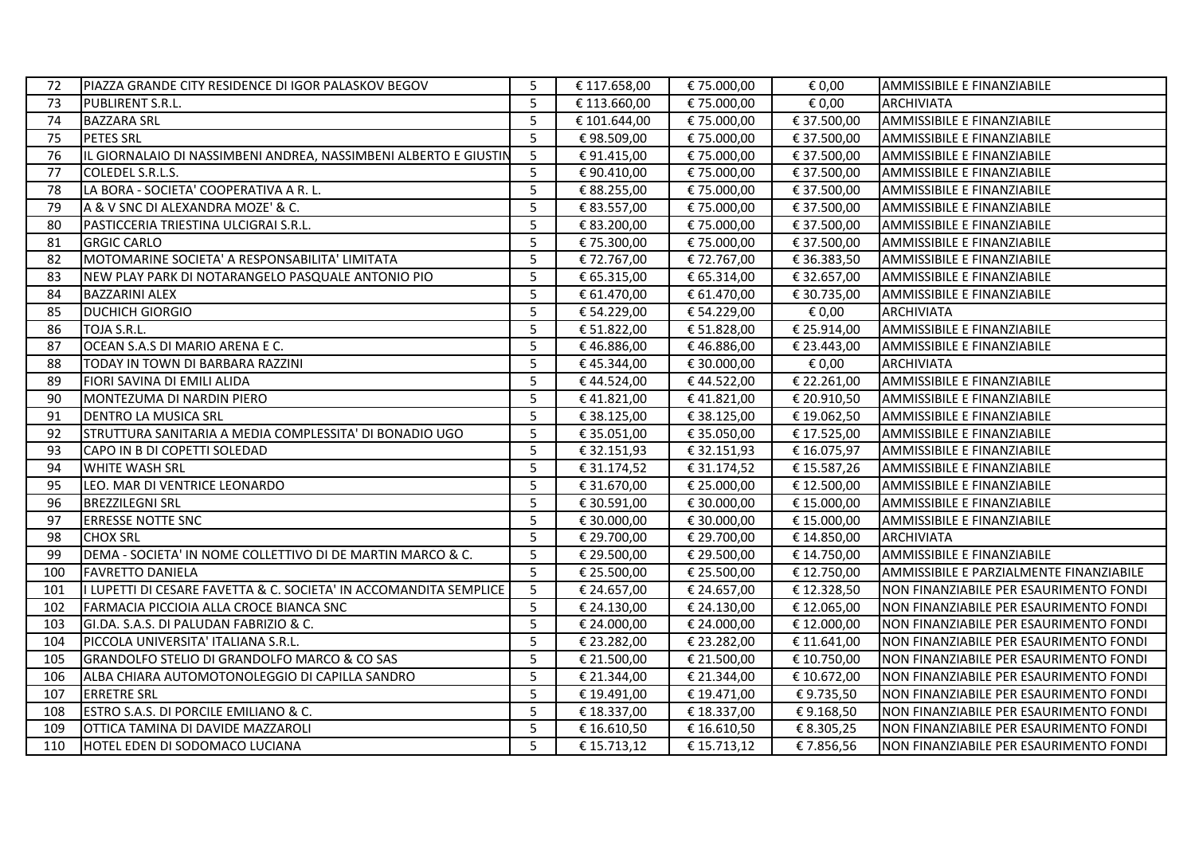| 72  | PIAZZA GRANDE CITY RESIDENCE DI IGOR PALASKOV BEGOV                | 5 | € 117.658,00 | € 75.000,00 | € 0,00      | AMMISSIBILE E FINANZIABILE              |
|-----|--------------------------------------------------------------------|---|--------------|-------------|-------------|-----------------------------------------|
| 73  | PUBLIRENT S.R.L.                                                   | 5 | € 113.660,00 | € 75.000,00 | € 0,00      | <b>ARCHIVIATA</b>                       |
| 74  | <b>BAZZARA SRL</b>                                                 | 5 | € 101.644,00 | € 75.000,00 | € 37.500,00 | AMMISSIBILE E FINANZIABILE              |
| 75  | <b>PETES SRL</b>                                                   | 5 | €98.509,00   | € 75.000,00 | € 37.500,00 | AMMISSIBILE E FINANZIABILE              |
| 76  | IL GIORNALAIO DI NASSIMBENI ANDREA, NASSIMBENI ALBERTO E GIUSTIN   | 5 | € 91.415,00  | € 75.000,00 | € 37.500,00 | AMMISSIBILE E FINANZIABILE              |
| 77  | COLEDEL S.R.L.S.                                                   | 5 | € 90.410,00  | € 75.000,00 | € 37.500,00 | AMMISSIBILE E FINANZIABILE              |
| 78  | LA BORA - SOCIETA' COOPERATIVA A R. L.                             | 5 | € 88.255,00  | € 75.000,00 | € 37.500,00 | AMMISSIBILE E FINANZIABILE              |
| 79  | A & V SNC DI ALEXANDRA MOZE' & C.                                  | 5 | € 83.557,00  | € 75.000,00 | € 37.500,00 | <b>AMMISSIBILE E FINANZIABILE</b>       |
| 80  | PASTICCERIA TRIESTINA ULCIGRAI S.R.L.                              | 5 | € 83.200,00  | € 75.000,00 | € 37.500,00 | <b>AMMISSIBILE E FINANZIABILE</b>       |
| 81  | <b>GRGIC CARLO</b>                                                 | 5 | € 75.300,00  | € 75.000,00 | € 37.500,00 | <b>AMMISSIBILE E FINANZIABILE</b>       |
| 82  | MOTOMARINE SOCIETA' A RESPONSABILITA' LIMITATA                     | 5 | € 72.767,00  | € 72.767,00 | € 36.383,50 | AMMISSIBILE E FINANZIABILE              |
| 83  | NEW PLAY PARK DI NOTARANGELO PASQUALE ANTONIO PIO                  | 5 | € 65.315,00  | € 65.314,00 | € 32.657,00 | <b>AMMISSIBILE E FINANZIABILE</b>       |
| 84  | <b>BAZZARINI ALEX</b>                                              | 5 | € 61.470,00  | € 61.470,00 | € 30.735,00 | AMMISSIBILE E FINANZIABILE              |
| 85  | IDUCHICH GIORGIO                                                   | 5 | € 54.229,00  | € 54.229,00 | € 0,00      | <b>ARCHIVIATA</b>                       |
| 86  | TOJA S.R.L.                                                        | 5 | € 51.822,00  | € 51.828,00 | € 25.914,00 | AMMISSIBILE E FINANZIABILE              |
| 87  | OCEAN S.A.S DI MARIO ARENA E C.                                    | 5 | €46.886,00   | € 46.886,00 | € 23.443,00 | AMMISSIBILE E FINANZIABILE              |
| 88  | TODAY IN TOWN DI BARBARA RAZZINI                                   | 5 | €45.344,00   | € 30.000,00 | € 0,00      | <b>ARCHIVIATA</b>                       |
| 89  | <b>FIORI SAVINA DI EMILI ALIDA</b>                                 | 5 | €44.524,00   | €44.522,00  | € 22.261,00 | AMMISSIBILE E FINANZIABILE              |
| 90  | MONTEZUMA DI NARDIN PIERO                                          | 5 | €41.821,00   | €41.821,00  | € 20.910,50 | AMMISSIBILE E FINANZIABILE              |
| 91  | <b>DENTRO LA MUSICA SRL</b>                                        | 5 | € 38.125,00  | € 38.125,00 | € 19.062,50 | AMMISSIBILE E FINANZIABILE              |
| 92  | STRUTTURA SANITARIA A MEDIA COMPLESSITA' DI BONADIO UGO            | 5 | € 35.051,00  | € 35.050,00 | € 17.525,00 | AMMISSIBILE E FINANZIABILE              |
| 93  | <b>I</b> CAPO IN B DI COPETTI SOLEDAD                              | 5 | € 32.151,93  | € 32.151,93 | € 16.075,97 | AMMISSIBILE E FINANZIABILE              |
| 94  | <b>WHITE WASH SRL</b>                                              | 5 | € 31.174,52  | € 31.174,52 | € 15.587,26 | AMMISSIBILE E FINANZIABILE              |
| 95  | LEO. MAR DI VENTRICE LEONARDO                                      | 5 | € 31.670,00  | € 25.000,00 | € 12.500,00 | AMMISSIBILE E FINANZIABILE              |
| 96  | <b>BREZZILEGNI SRL</b>                                             | 5 | € 30.591,00  | € 30.000,00 | € 15.000,00 | AMMISSIBILE E FINANZIABILE              |
| 97  | <b>ERRESSE NOTTE SNC</b>                                           | 5 | € 30.000,00  | € 30.000,00 | € 15.000,00 | AMMISSIBILE E FINANZIABILE              |
| 98  | <b>CHOX SRL</b>                                                    | 5 | € 29.700,00  | € 29.700,00 | € 14.850,00 | <b>ARCHIVIATA</b>                       |
| 99  | DEMA - SOCIETA' IN NOME COLLETTIVO DI DE MARTIN MARCO & C.         | 5 | € 29.500,00  | € 29.500,00 | € 14.750,00 | AMMISSIBILE E FINANZIABILE              |
| 100 | <b>FAVRETTO DANIELA</b>                                            | 5 | € 25.500,00  | € 25.500,00 | € 12.750,00 | AMMISSIBILE E PARZIALMENTE FINANZIABILE |
| 101 | II LUPETTI DI CESARE FAVETTA & C. SOCIETA' IN ACCOMANDITA SEMPLICE | 5 | € 24.657,00  | € 24.657,00 | € 12.328,50 | NON FINANZIABILE PER ESAURIMENTO FONDI  |
| 102 | FARMACIA PICCIOIA ALLA CROCE BIANCA SNC                            | 5 | € 24.130,00  | € 24.130,00 | € 12.065,00 | INON FINANZIABILE PER ESAURIMENTO FONDI |
| 103 | GI.DA. S.A.S. DI PALUDAN FABRIZIO & C.                             | 5 | € 24.000,00  | € 24.000,00 | € 12.000,00 | NON FINANZIABILE PER ESAURIMENTO FONDI  |
| 104 | PICCOLA UNIVERSITA' ITALIANA S.R.L.                                | 5 | € 23.282,00  | € 23.282,00 | € 11.641,00 | NON FINANZIABILE PER ESAURIMENTO FONDI  |
| 105 | GRANDOLFO STELIO DI GRANDOLFO MARCO & CO SAS                       | 5 | € 21.500,00  | € 21.500,00 | € 10.750,00 | NON FINANZIABILE PER ESAURIMENTO FONDI  |
| 106 | IALBA CHIARA AUTOMOTONOLEGGIO DI CAPILLA SANDRO                    | 5 | € 21.344,00  | € 21.344,00 | € 10.672,00 | NON FINANZIABILE PER ESAURIMENTO FONDI  |
| 107 | <b>ERRETRE SRL</b>                                                 | 5 | € 19.491,00  | € 19.471,00 | € 9.735,50  | NON FINANZIABILE PER ESAURIMENTO FONDI  |
| 108 | <b>ESTRO S.A.S. DI PORCILE EMILIANO &amp; C.</b>                   | 5 | € 18.337,00  | € 18.337,00 | €9.168,50   | NON FINANZIABILE PER ESAURIMENTO FONDI  |
| 109 | OTTICA TAMINA DI DAVIDE MAZZAROLI                                  | 5 | € 16.610,50  | € 16.610,50 | € 8.305,25  | NON FINANZIABILE PER ESAURIMENTO FONDI  |
| 110 | HOTEL EDEN DI SODOMACO LUCIANA                                     | 5 | € 15.713,12  | € 15.713,12 | €7.856,56   | NON FINANZIABILE PER ESAURIMENTO FONDI  |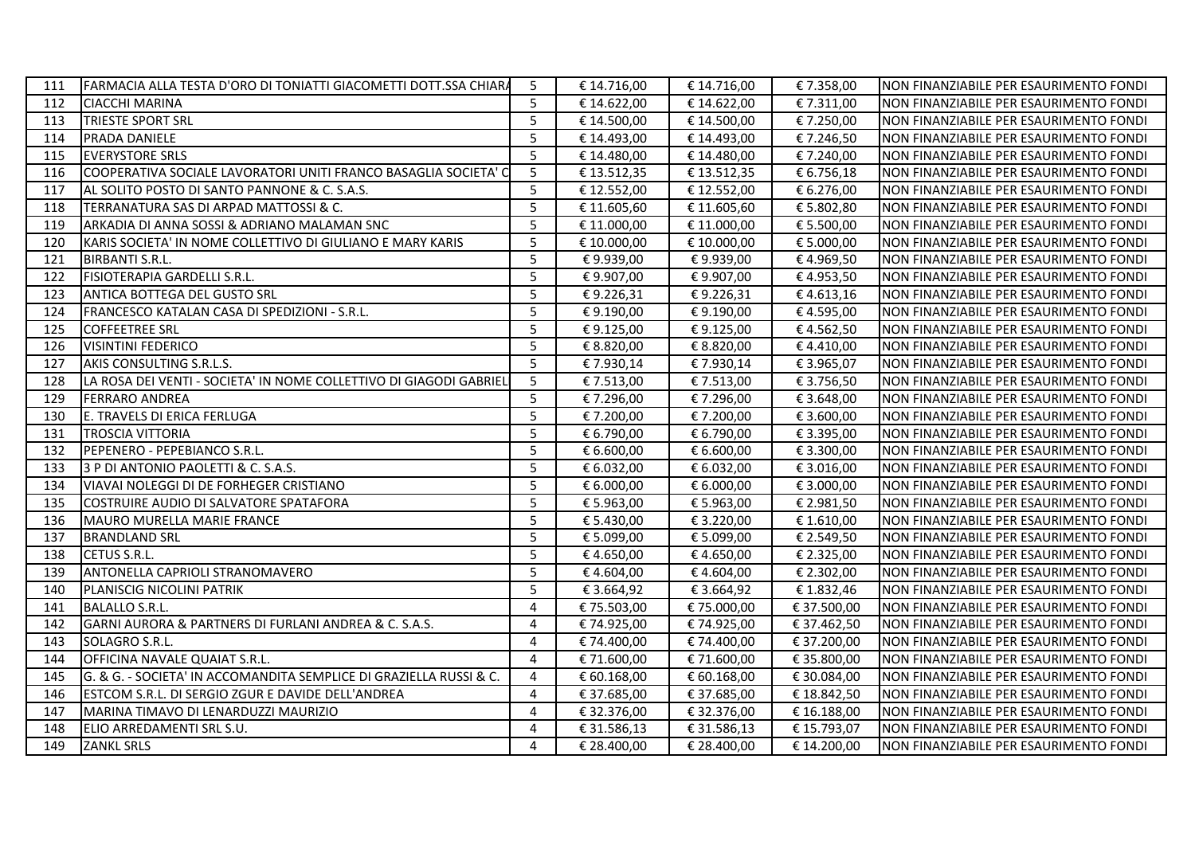| 111 | FARMACIA ALLA TESTA D'ORO DI TONIATTI GIACOMETTI DOTT.SSA CHIARA   | 5              | € 14.716,00 | € 14.716,00 | € 7.358,00  | NON FINANZIABILE PER ESAURIMENTO FONDI |
|-----|--------------------------------------------------------------------|----------------|-------------|-------------|-------------|----------------------------------------|
| 112 | <b>I</b> CIACCHI MARINA                                            | 5              | € 14.622,00 | € 14.622,00 | € 7.311,00  | NON FINANZIABILE PER ESAURIMENTO FONDI |
| 113 | TRIESTE SPORT SRL                                                  | 5              | € 14.500,00 | € 14.500,00 | € 7.250,00  | NON FINANZIABILE PER ESAURIMENTO FONDI |
| 114 | <b>PRADA DANIELE</b>                                               | 5              | € 14.493,00 | € 14.493,00 | €7.246,50   | NON FINANZIABILE PER ESAURIMENTO FONDI |
| 115 | <b>EVERYSTORE SRLS</b>                                             | 5              | € 14.480,00 | € 14.480,00 | € 7.240,00  | NON FINANZIABILE PER ESAURIMENTO FONDI |
| 116 | COOPERATIVA SOCIALE LAVORATORI UNITI FRANCO BASAGLIA SOCIETA' C    | 5              | € 13.512,35 | € 13.512,35 | € 6.756,18  | NON FINANZIABILE PER ESAURIMENTO FONDI |
| 117 | AL SOLITO POSTO DI SANTO PANNONE & C. S.A.S.                       | 5              | € 12.552,00 | € 12.552,00 | € 6.276,00  | NON FINANZIABILE PER ESAURIMENTO FONDI |
| 118 | <b>TERRANATURA SAS DI ARPAD MATTOSSI &amp; C.</b>                  | 5              | € 11.605,60 | € 11.605,60 | € 5.802,80  | NON FINANZIABILE PER ESAURIMENTO FONDI |
| 119 | ARKADIA DI ANNA SOSSI & ADRIANO MALAMAN SNC                        | 5              | € 11.000,00 | € 11.000,00 | € 5.500,00  | NON FINANZIABILE PER ESAURIMENTO FONDI |
| 120 | KARIS SOCIETA' IN NOME COLLETTIVO DI GIULIANO E MARY KARIS         | 5              | € 10.000,00 | € 10.000,00 | € 5.000,00  | NON FINANZIABILE PER ESAURIMENTO FONDI |
| 121 | <b>BIRBANTI S.R.L.</b>                                             | 5              | €9.939,00   | €9.939,00   | €4.969,50   | NON FINANZIABILE PER ESAURIMENTO FONDI |
| 122 | <b>FISIOTERAPIA GARDELLI S.R.L.</b>                                | 5              | € 9.907,00  | €9.907,00   | €4.953,50   | NON FINANZIABILE PER ESAURIMENTO FONDI |
| 123 | <b>ANTICA BOTTEGA DEL GUSTO SRL</b>                                | 5              | €9.226,31   | €9.226,31   | €4.613,16   | NON FINANZIABILE PER ESAURIMENTO FONDI |
| 124 | lFRANCESCO KATALAN CASA DI SPEDIZIONI - S.R.L.                     | 5              | € 9.190,00  | € 9.190,00  | €4.595,00   | NON FINANZIABILE PER ESAURIMENTO FONDI |
| 125 | COFFEETREE SRL                                                     | 5              | €9.125,00   | €9.125,00   | €4.562,50   | NON FINANZIABILE PER ESAURIMENTO FONDI |
| 126 | VISINTINI FEDERICO                                                 | 5              | € 8.820,00  | € 8.820,00  | €4.410,00   | NON FINANZIABILE PER ESAURIMENTO FONDI |
| 127 | AKIS CONSULTING S.R.L.S.                                           | 5              | €7.930,14   | €7.930,14   | € 3.965,07  | NON FINANZIABILE PER ESAURIMENTO FONDI |
| 128 | LA ROSA DEI VENTI - SOCIETA' IN NOME COLLETTIVO DI GIAGODI GABRIEL | 5              | € 7.513,00  | € 7.513,00  | € 3.756,50  | NON FINANZIABILE PER ESAURIMENTO FONDI |
| 129 | <b>FERRARO ANDREA</b>                                              | 5              | € 7.296,00  | € 7.296,00  | € 3.648,00  | NON FINANZIABILE PER ESAURIMENTO FONDI |
| 130 | E. TRAVELS DI ERICA FERLUGA                                        | 5              | € 7.200,00  | € 7.200,00  | € 3.600,00  | NON FINANZIABILE PER ESAURIMENTO FONDI |
| 131 | <b>TROSCIA VITTORIA</b>                                            | 5              | € 6.790,00  | € 6.790,00  | € 3.395,00  | NON FINANZIABILE PER ESAURIMENTO FONDI |
| 132 | IPEPENERO - PEPEBIANCO S.R.L.                                      | 5              | € 6.600,00  | € 6.600,00  | € 3.300,00  | NON FINANZIABILE PER ESAURIMENTO FONDI |
| 133 | 13 P DI ANTONIO PAOLETTI & C. S.A.S.                               | 5              | € 6.032,00  | € 6.032,00  | € 3.016,00  | NON FINANZIABILE PER ESAURIMENTO FONDI |
| 134 | lVIAVAI NOLEGGI DI DE FORHEGER CRISTIANO                           | 5              | € 6.000,00  | € 6.000,00  | € 3.000,00  | NON FINANZIABILE PER ESAURIMENTO FONDI |
| 135 | COSTRUIRE AUDIO DI SALVATORE SPATAFORA                             | 5              | € 5.963,00  | € 5.963,00  | € 2.981,50  | NON FINANZIABILE PER ESAURIMENTO FONDI |
| 136 | MAURO MURELLA MARIE FRANCE                                         | 5              | € 5.430,00  | € 3.220,00  | € 1.610,00  | NON FINANZIABILE PER ESAURIMENTO FONDI |
| 137 | <b>BRANDLAND SRL</b>                                               | 5              | € 5.099,00  | € 5.099,00  | € 2.549,50  | NON FINANZIABILE PER ESAURIMENTO FONDI |
| 138 | CETUS S.R.L.                                                       | 5              | €4.650,00   | €4.650,00   | € 2.325,00  | NON FINANZIABILE PER ESAURIMENTO FONDI |
| 139 | <b>ANTONELLA CAPRIOLI STRANOMAVERO</b>                             | 5              | €4.604,00   | €4.604,00   | € 2.302,00  | NON FINANZIABILE PER ESAURIMENTO FONDI |
| 140 | IPLANISCIG NICOLINI PATRIK                                         | 5              | € 3.664,92  | € 3.664,92  | € 1.832,46  | NON FINANZIABILE PER ESAURIMENTO FONDI |
| 141 | <b>BALALLO S.R.L.</b>                                              | $\overline{4}$ | € 75.503,00 | € 75.000,00 | € 37.500,00 | NON FINANZIABILE PER ESAURIMENTO FONDI |
| 142 | GARNI AURORA & PARTNERS DI FURLANI ANDREA & C. S.A.S.              | 4              | € 74.925,00 | € 74.925,00 | € 37.462,50 | NON FINANZIABILE PER ESAURIMENTO FONDI |
| 143 | SOLAGRO S.R.L.                                                     | 4              | € 74.400,00 | € 74.400,00 | € 37.200,00 | NON FINANZIABILE PER ESAURIMENTO FONDI |
| 144 | OFFICINA NAVALE QUAIAT S.R.L.                                      | 4              | € 71.600,00 | € 71.600,00 | € 35.800,00 | NON FINANZIABILE PER ESAURIMENTO FONDI |
| 145 | G. & G. - SOCIETA' IN ACCOMANDITA SEMPLICE DI GRAZIELLA RUSSI & C. | 4              | € 60.168,00 | € 60.168,00 | € 30.084,00 | NON FINANZIABILE PER ESAURIMENTO FONDI |
| 146 | ESTCOM S.R.L. DI SERGIO ZGUR E DAVIDE DELL'ANDREA                  | 4              | € 37.685,00 | € 37.685,00 | € 18.842,50 | NON FINANZIABILE PER ESAURIMENTO FONDI |
| 147 | MARINA TIMAVO DI LENARDUZZI MAURIZIO                               | 4              | € 32.376,00 | € 32.376,00 | € 16.188,00 | NON FINANZIABILE PER ESAURIMENTO FONDI |
| 148 | ELIO ARREDAMENTI SRL S.U.                                          | 4              | € 31.586,13 | € 31.586,13 | € 15.793,07 | NON FINANZIABILE PER ESAURIMENTO FONDI |
| 149 | <b>ZANKL SRLS</b>                                                  | 4              | € 28.400,00 | € 28.400,00 | € 14.200,00 | NON FINANZIABILE PER ESAURIMENTO FONDI |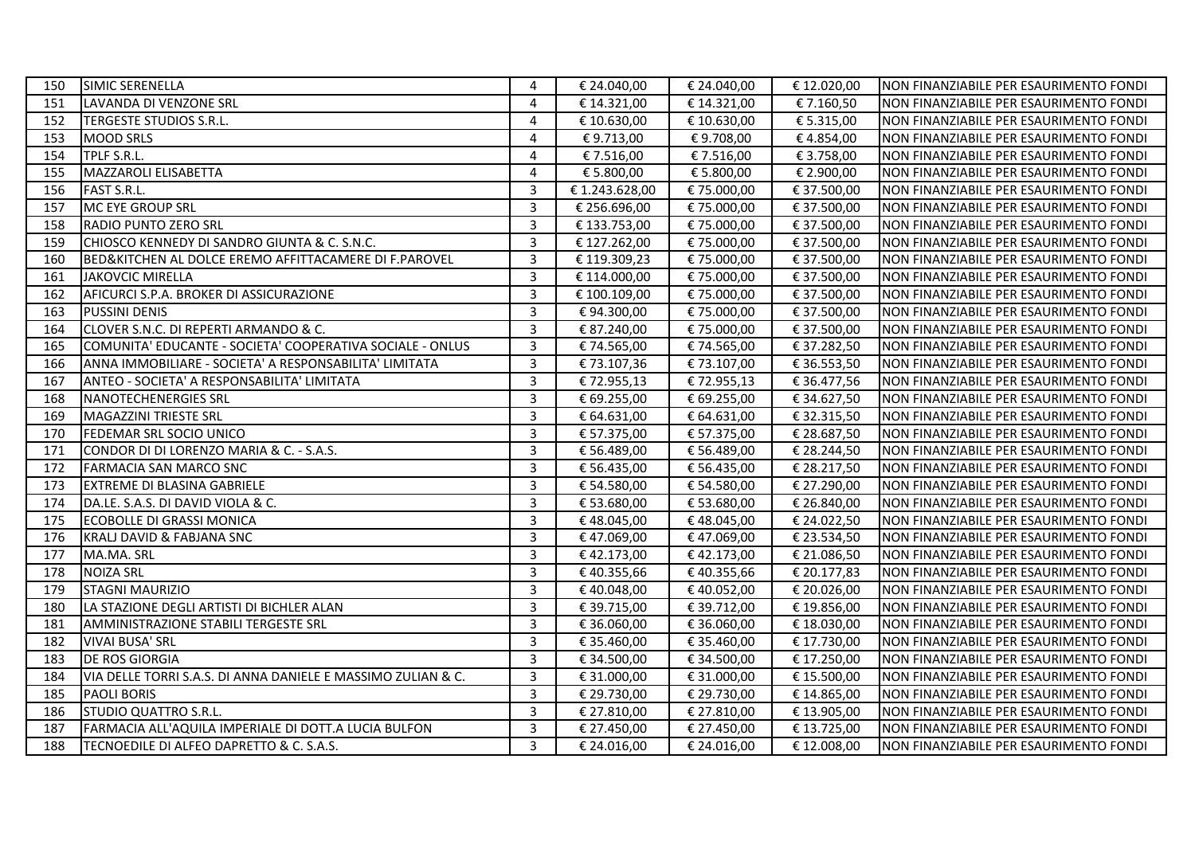| 150 | SIMIC SERENELLA                                              | 4              | € 24.040,00    | € 24.040,00                     | € 12.020,00 | NON FINANZIABILE PER ESAURIMENTO FONDI  |
|-----|--------------------------------------------------------------|----------------|----------------|---------------------------------|-------------|-----------------------------------------|
| 151 | LAVANDA DI VENZONE SRL                                       | 4              | € 14.321,00    | € 14.321,00                     | € 7.160,50  | NON FINANZIABILE PER ESAURIMENTO FONDI  |
| 152 | TERGESTE STUDIOS S.R.L.                                      | $\overline{4}$ | € 10.630,00    | € 10.630,00                     | € 5.315,00  | NON FINANZIABILE PER ESAURIMENTO FONDI  |
| 153 | <b>IMOOD SRLS</b>                                            | 4              | €9.713,00      | €9.708,00                       | €4.854,00   | NON FINANZIABILE PER ESAURIMENTO FONDI  |
| 154 | TPLF S.R.L.                                                  | 4              | € 7.516,00     | € 7.516,00                      | € 3.758,00  | NON FINANZIABILE PER ESAURIMENTO FONDI  |
| 155 | MAZZAROLI ELISABETTA                                         | 4              | € 5.800,00     | € 5.800,00                      | € 2.900,00  | NON FINANZIABILE PER ESAURIMENTO FONDI  |
| 156 | <b>FAST S.R.L.</b>                                           | 3              | € 1.243.628,00 | € 75.000,00                     | € 37.500,00 | NON FINANZIABILE PER ESAURIMENTO FONDI  |
| 157 | MC EYE GROUP SRL                                             | 3              | € 256.696,00   | € 75.000,00                     | € 37.500,00 | NON FINANZIABILE PER ESAURIMENTO FONDI  |
| 158 | <b>RADIO PUNTO ZERO SRL</b>                                  | 3              | € 133.753,00   | € 75.000,00                     | € 37.500,00 | NON FINANZIABILE PER ESAURIMENTO FONDI  |
| 159 | CHIOSCO KENNEDY DI SANDRO GIUNTA & C. S.N.C.                 | $\overline{3}$ | € 127.262,00   | € 75.000,00                     | € 37.500,00 | NON FINANZIABILE PER ESAURIMENTO FONDI  |
| 160 | BED&KITCHEN AL DOLCE EREMO AFFITTACAMERE DI F.PAROVEL        | 3              | €119.309,23    | € 75.000,00                     | € 37.500,00 | NON FINANZIABILE PER ESAURIMENTO FONDI  |
| 161 | JAKOVCIC MIRELLA                                             | 3              | € 114.000,00   | € 75.000,00                     | € 37.500,00 | NON FINANZIABILE PER ESAURIMENTO FONDI  |
| 162 | AFICURCI S.P.A. BROKER DI ASSICURAZIONE                      | 3              | € 100.109,00   | € 75.000,00                     | € 37.500,00 | NON FINANZIABILE PER ESAURIMENTO FONDI  |
| 163 | <b>PUSSINI DENIS</b>                                         | $\overline{3}$ | €94.300,00     | € 75.000,00                     | € 37.500,00 | INON FINANZIABILE PER ESAURIMENTO FONDI |
| 164 | CLOVER S.N.C. DI REPERTI ARMANDO & C.                        | 3              | € 87.240,00    | € 75.000,00                     | € 37.500,00 | NON FINANZIABILE PER ESAURIMENTO FONDI  |
| 165 | COMUNITA' EDUCANTE - SOCIETA' COOPERATIVA SOCIALE - ONLUS    | 3              | € 74.565,00    | € 74.565,00                     | € 37.282,50 | NON FINANZIABILE PER ESAURIMENTO FONDI  |
| 166 | ANNA IMMOBILIARE - SOCIETA' A RESPONSABILITA' LIMITATA       | 3              | €73.107,36     | € 73.107,00                     | € 36.553,50 | NON FINANZIABILE PER ESAURIMENTO FONDI  |
| 167 | ANTEO - SOCIETA' A RESPONSABILITA' LIMITATA                  | 3              | €72.955,13     | € 72.955,13                     | € 36.477,56 | NON FINANZIABILE PER ESAURIMENTO FONDI  |
| 168 | NANOTECHENERGIES SRL                                         | 3              | € 69.255,00    | € 69.255,00                     | € 34.627,50 | NON FINANZIABILE PER ESAURIMENTO FONDI  |
| 169 | MAGAZZINI TRIESTE SRL                                        | 3              | € 64.631,00    | € 64.631,00                     | € 32.315,50 | NON FINANZIABILE PER ESAURIMENTO FONDI  |
| 170 | <b>FEDEMAR SRL SOCIO UNICO</b>                               | 3              | € 57.375,00    | € 57.375,00                     | € 28.687,50 | NON FINANZIABILE PER ESAURIMENTO FONDI  |
| 171 | CONDOR DI DI LORENZO MARIA & C. - S.A.S.                     | $\overline{3}$ | € 56.489,00    | € 56.489,00                     | € 28.244,50 | NON FINANZIABILE PER ESAURIMENTO FONDI  |
| 172 | FARMACIA SAN MARCO SNC                                       | $\overline{3}$ | € 56.435,00    | € 56.435,00                     | € 28.217,50 | NON FINANZIABILE PER ESAURIMENTO FONDI  |
| 173 | <b>EXTREME DI BLASINA GABRIELE</b>                           | $\overline{3}$ | € 54.580,00    | € 54.580,00                     | € 27.290,00 | NON FINANZIABILE PER ESAURIMENTO FONDI  |
| 174 | DA.LE. S.A.S. DI DAVID VIOLA & C.                            | 3              | € 53.680,00    | € 53.680,00                     | € 26.840,00 | NON FINANZIABILE PER ESAURIMENTO FONDI  |
| 175 | <b>IECOBOLLE DI GRASSI MONICA</b>                            | 3              | €48.045,00     | €48.045,00                      | € 24.022,50 | NON FINANZIABILE PER ESAURIMENTO FONDI  |
| 176 | KRALJ DAVID & FABJANA SNC                                    | $\overline{3}$ | €47.069,00     | €47.069,00                      | € 23.534,50 | NON FINANZIABILE PER ESAURIMENTO FONDI  |
| 177 | MA.MA. SRL                                                   | 3              | €42.173,00     | € 42.173,00                     | € 21.086,50 | NON FINANZIABILE PER ESAURIMENTO FONDI  |
| 178 | <b>NOIZA SRL</b>                                             | $\overline{3}$ | € 40.355,66    | €40.355,66                      | € 20.177,83 | NON FINANZIABILE PER ESAURIMENTO FONDI  |
| 179 | <b>STAGNI MAURIZIO</b>                                       | 3              | € 40.048,00    | € 40.052,00                     | € 20.026,00 | NON FINANZIABILE PER ESAURIMENTO FONDI  |
| 180 | LA STAZIONE DEGLI ARTISTI DI BICHLER ALAN                    | $\overline{3}$ | € 39.715,00    | € 39.712,00                     | € 19.856,00 | NON FINANZIABILE PER ESAURIMENTO FONDI  |
| 181 | AMMINISTRAZIONE STABILI TERGESTE SRL                         | 3              | € 36.060,00    | € 36.060,00                     | € 18.030,00 | NON FINANZIABILE PER ESAURIMENTO FONDI  |
| 182 | <b>VIVAI BUSA' SRL</b>                                       | $\overline{3}$ | € 35.460,00    | € 35.460,00                     | € 17.730,00 | INON FINANZIABILE PER ESAURIMENTO FONDI |
| 183 | <b>DE ROS GIORGIA</b>                                        | 3              | € 34.500,00    | € 34.500,00                     | € 17.250,00 | NON FINANZIABILE PER ESAURIMENTO FONDI  |
| 184 | VIA DELLE TORRI S.A.S. DI ANNA DANIELE E MASSIMO ZULIAN & C. | 3              | € 31.000,00    | € 31.000,00                     | € 15.500,00 | NON FINANZIABILE PER ESAURIMENTO FONDI  |
| 185 | <b>PAOLI BORIS</b>                                           | $\overline{3}$ | € 29.730,00    | $\overline{\epsilon}$ 29.730,00 | € 14.865,00 | NON FINANZIABILE PER ESAURIMENTO FONDI  |
| 186 | <b>STUDIO QUATTRO S.R.L.</b>                                 | 3              | € 27.810,00    | € 27.810,00                     | € 13.905,00 | NON FINANZIABILE PER ESAURIMENTO FONDI  |
| 187 | FARMACIA ALL'AQUILA IMPERIALE DI DOTT.A LUCIA BULFON         | 3              | € 27.450,00    | € 27.450,00                     | € 13.725,00 | NON FINANZIABILE PER ESAURIMENTO FONDI  |
| 188 | TECNOEDILE DI ALFEO DAPRETTO & C. S.A.S.                     | $\overline{3}$ | € 24.016,00    | € 24.016,00                     | €12.008,00  | NON FINANZIABILE PER ESAURIMENTO FONDI  |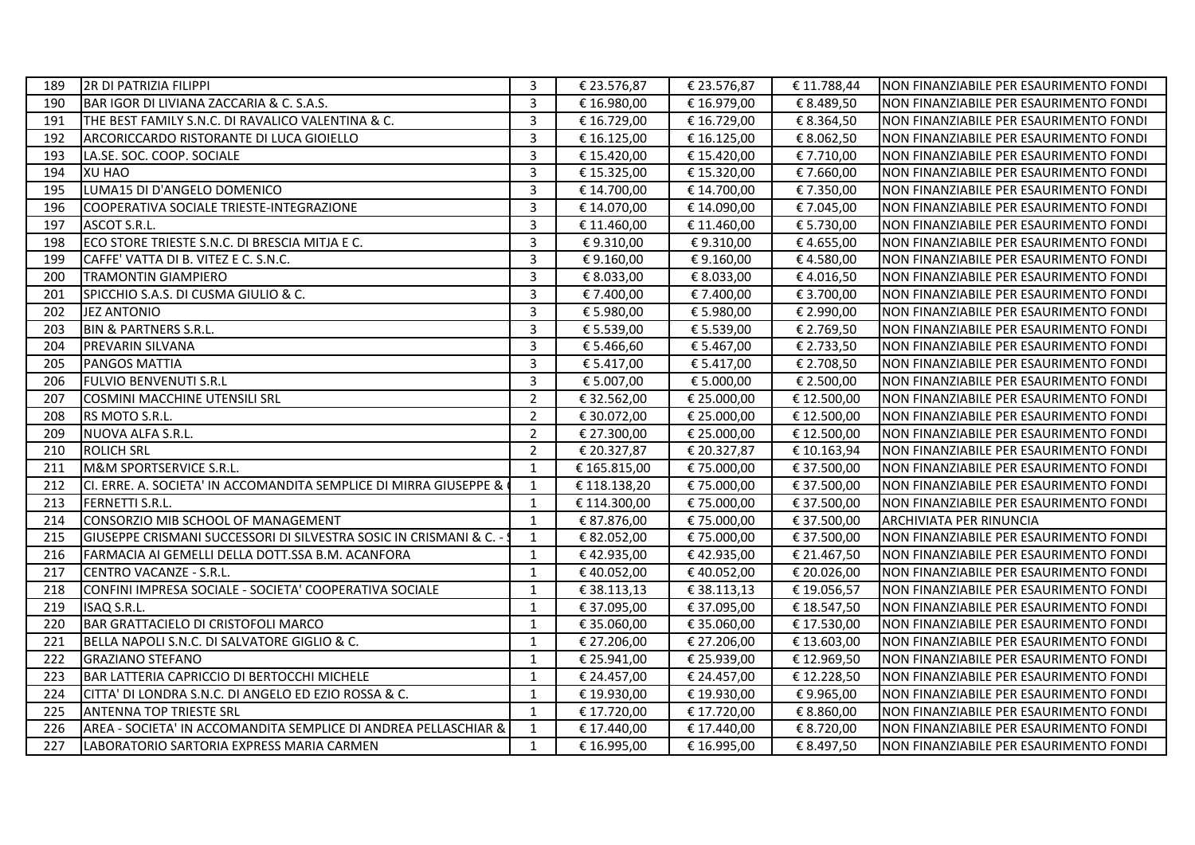| 189 | 2R DI PATRIZIA FILIPPI                                             | 3              | € 23.576,87  | € 23.576,87 | € 11.788,44 | INON FINANZIABILE PER ESAURIMENTO FONDI |
|-----|--------------------------------------------------------------------|----------------|--------------|-------------|-------------|-----------------------------------------|
| 190 | BAR IGOR DI LIVIANA ZACCARIA & C. S.A.S.                           | $\overline{3}$ | € 16.980,00  | € 16.979,00 | € 8.489,50  | NON FINANZIABILE PER ESAURIMENTO FONDI  |
| 191 | THE BEST FAMILY S.N.C. DI RAVALICO VALENTINA & C.                  | $\overline{3}$ | € 16.729,00  | € 16.729,00 | € 8.364,50  | NON FINANZIABILE PER ESAURIMENTO FONDI  |
| 192 | ARCORICCARDO RISTORANTE DI LUCA GIOIELLO                           | $\overline{3}$ | € 16.125,00  | € 16.125,00 | € 8.062,50  | NON FINANZIABILE PER ESAURIMENTO FONDI  |
| 193 | LA.SE. SOC. COOP. SOCIALE                                          | 3              | € 15.420,00  | € 15.420,00 | €7.710,00   | NON FINANZIABILE PER ESAURIMENTO FONDI  |
| 194 | <b>XU HAO</b>                                                      | $\overline{3}$ | € 15.325,00  | € 15.320,00 | €7.660,00   | NON FINANZIABILE PER ESAURIMENTO FONDI  |
| 195 | LUMA15 DI D'ANGELO DOMENICO                                        | 3              | € 14.700,00  | € 14.700,00 | € 7.350,00  | NON FINANZIABILE PER ESAURIMENTO FONDI  |
| 196 | COOPERATIVA SOCIALE TRIESTE-INTEGRAZIONE                           | $\overline{3}$ | € 14.070,00  | € 14.090,00 | €7.045,00   | NON FINANZIABILE PER ESAURIMENTO FONDI  |
| 197 | ASCOT S.R.L.                                                       | 3              | € 11.460,00  | € 11.460,00 | € 5.730,00  | NON FINANZIABILE PER ESAURIMENTO FONDI  |
| 198 | ECO STORE TRIESTE S.N.C. DI BRESCIA MITJA E C.                     | $\overline{3}$ | € 9.310,00   | €9.310,00   | €4.655,00   | NON FINANZIABILE PER ESAURIMENTO FONDI  |
| 199 | CAFFE' VATTA DI B. VITEZ E C. S.N.C.                               | $\overline{3}$ | € 9.160,00   | €9.160,00   | €4.580,00   | NON FINANZIABILE PER ESAURIMENTO FONDI  |
| 200 | <b>TRAMONTIN GIAMPIERO</b>                                         | $\overline{3}$ | € 8.033,00   | € 8.033,00  | €4.016,50   | NON FINANZIABILE PER ESAURIMENTO FONDI  |
| 201 | SPICCHIO S.A.S. DI CUSMA GIULIO & C.                               | 3              | € 7.400,00   | € 7.400,00  | € 3.700,00  | NON FINANZIABILE PER ESAURIMENTO FONDI  |
| 202 | <b>JEZ ANTONIO</b>                                                 | $\overline{3}$ | € 5.980,00   | € 5.980,00  | € 2.990,00  | NON FINANZIABILE PER ESAURIMENTO FONDI  |
| 203 | BIN & PARTNERS S.R.L.                                              | 3              | € 5.539,00   | € 5.539,00  | € 2.769,50  | NON FINANZIABILE PER ESAURIMENTO FONDI  |
| 204 | PREVARIN SILVANA                                                   | $\overline{3}$ | € 5.466,60   | € 5.467,00  | € 2.733,50  | NON FINANZIABILE PER ESAURIMENTO FONDI  |
| 205 | PANGOS MATTIA                                                      | $\mathbf{3}$   | € 5.417,00   | € 5.417,00  | € 2.708,50  | NON FINANZIABILE PER ESAURIMENTO FONDI  |
| 206 | <b>FULVIO BENVENUTI S.R.L</b>                                      | $\overline{3}$ | € 5.007,00   | € 5.000,00  | € 2.500,00  | NON FINANZIABILE PER ESAURIMENTO FONDI  |
| 207 | <b>COSMINI MACCHINE UTENSILI SRL</b>                               | $\overline{2}$ | € 32.562,00  | € 25.000,00 | € 12.500,00 | NON FINANZIABILE PER ESAURIMENTO FONDI  |
| 208 | RS MOTO S.R.L.                                                     | $\overline{2}$ | € 30.072,00  | € 25.000,00 | € 12.500,00 | NON FINANZIABILE PER ESAURIMENTO FONDI  |
| 209 | NUOVA ALFA S.R.L.                                                  | $\overline{2}$ | € 27.300,00  | € 25.000,00 | € 12.500,00 | NON FINANZIABILE PER ESAURIMENTO FONDI  |
| 210 | <b>ROLICH SRL</b>                                                  | $\overline{2}$ | € 20.327,87  | € 20.327,87 | € 10.163,94 | NON FINANZIABILE PER ESAURIMENTO FONDI  |
| 211 | M&M SPORTSERVICE S.R.L.                                            | $\mathbf{1}$   | € 165.815,00 | € 75.000,00 | € 37.500,00 | NON FINANZIABILE PER ESAURIMENTO FONDI  |
| 212 | CI. ERRE. A. SOCIETA' IN ACCOMANDITA SEMPLICE DI MIRRA GIUSEPPE &  | 1              | € 118.138,20 | € 75.000,00 | € 37.500,00 | NON FINANZIABILE PER ESAURIMENTO FONDI  |
| 213 | <b>FERNETTI S.R.L.</b>                                             | 1              | € 114.300,00 | € 75.000,00 | € 37.500,00 | NON FINANZIABILE PER ESAURIMENTO FONDI  |
| 214 | CONSORZIO MIB SCHOOL OF MANAGEMENT                                 | $\mathbf{1}$   | € 87.876,00  | € 75.000,00 | € 37.500,00 | <b>ARCHIVIATA PER RINUNCIA</b>          |
| 215 | GIUSEPPE CRISMANI SUCCESSORI DI SILVESTRA SOSIC IN CRISMANI & C. - | 1              | € 82.052,00  | € 75.000,00 | € 37.500,00 | NON FINANZIABILE PER ESAURIMENTO FONDI  |
| 216 | FARMACIA AI GEMELLI DELLA DOTT.SSA B.M. ACANFORA                   | 1              | €42.935,00   | €42.935,00  | € 21.467,50 | NON FINANZIABILE PER ESAURIMENTO FONDI  |
| 217 | CENTRO VACANZE - S.R.L.                                            | $\mathbf{1}$   | €40.052,00   | € 40.052,00 | € 20.026,00 | NON FINANZIABILE PER ESAURIMENTO FONDI  |
| 218 | CONFINI IMPRESA SOCIALE - SOCIETA' COOPERATIVA SOCIALE             | $\mathbf{1}$   | € 38.113,13  | € 38.113,13 | € 19.056,57 | NON FINANZIABILE PER ESAURIMENTO FONDI  |
| 219 | ISAQ S.R.L.                                                        | $\mathbf{1}$   | € 37.095,00  | € 37.095,00 | €18.547,50  | NON FINANZIABILE PER ESAURIMENTO FONDI  |
| 220 | BAR GRATTACIELO DI CRISTOFOLI MARCO                                | $\mathbf{1}$   | € 35.060,00  | € 35.060,00 | € 17.530,00 | NON FINANZIABILE PER ESAURIMENTO FONDI  |
| 221 | BELLA NAPOLI S.N.C. DI SALVATORE GIGLIO & C.                       | 1              | € 27.206,00  | € 27.206,00 | € 13.603,00 | NON FINANZIABILE PER ESAURIMENTO FONDI  |
| 222 | <b>GRAZIANO STEFANO</b>                                            | $\mathbf{1}$   | € 25.941,00  | € 25.939,00 | €12.969,50  | NON FINANZIABILE PER ESAURIMENTO FONDI  |
| 223 | BAR LATTERIA CAPRICCIO DI BERTOCCHI MICHELE                        | 1              | € 24.457,00  | € 24.457,00 | €12.228,50  | NON FINANZIABILE PER ESAURIMENTO FONDI  |
| 224 | CITTA' DI LONDRA S.N.C. DI ANGELO ED EZIO ROSSA & C.               | $\mathbf{1}$   | € 19.930,00  | € 19.930,00 | €9.965,00   | NON FINANZIABILE PER ESAURIMENTO FONDI  |
| 225 | <b>ANTENNA TOP TRIESTE SRL</b>                                     | 1              | € 17.720,00  | € 17.720,00 | € 8.860,00  | NON FINANZIABILE PER ESAURIMENTO FONDI  |
| 226 | AREA - SOCIETA' IN ACCOMANDITA SEMPLICE DI ANDREA PELLASCHIAR &    | $\mathbf{1}$   | € 17.440,00  | € 17.440,00 | € 8.720,00  | NON FINANZIABILE PER ESAURIMENTO FONDI  |
| 227 | LABORATORIO SARTORIA EXPRESS MARIA CARMEN                          | $\mathbf{1}$   | € 16.995,00  | € 16.995,00 | € 8.497,50  | NON FINANZIABILE PER ESAURIMENTO FONDI  |